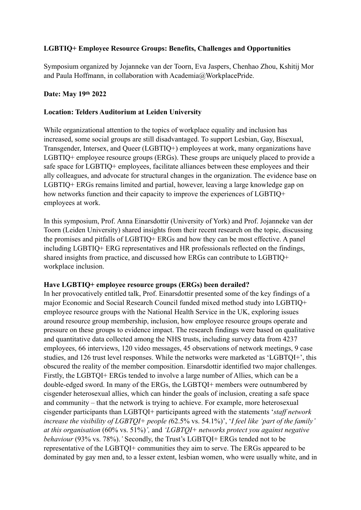# **LGBTIQ+ Employee Resource Groups: Benefits, Challenges and Opportunities**

Symposium organized by Jojanneke van der Toorn, Eva Jaspers, Chenhao Zhou, Kshitij Mor and Paula Hoffmann, in collaboration with Academia@WorkplacePride.

## **Date: May 19th 2022**

### **Location: Telders Auditorium at Leiden University**

While organizational attention to the topics of workplace equality and inclusion has increased, some social groups are still disadvantaged. To support Lesbian, Gay, Bisexual, Transgender, Intersex, and Queer (LGBTIQ+) employees at work, many organizations have LGBTIQ+ employee resource groups (ERGs). These groups are uniquely placed to provide a safe space for LGBTIQ+ employees, facilitate alliances between these employees and their ally colleagues, and advocate for structural changes in the organization. The evidence base on LGBTIQ+ ERGs remains limited and partial, however, leaving a large knowledge gap on how networks function and their capacity to improve the experiences of LGBTIQ+ employees at work.

In this symposium, Prof. Anna Einarsdottir (University of York) and Prof. Jojanneke van der Toorn (Leiden University) shared insights from their recent research on the topic, discussing the promises and pitfalls of LGBTIQ+ ERGs and how they can be most effective. A panel including LGBTIQ+ ERG representatives and HR professionals reflected on the findings, shared insights from practice, and discussed how ERGs can contribute to LGBTIQ+ workplace inclusion.

### **Have LGBTIQ+ employee resource groups (ERGs) been derailed?**

In her provocatively entitled talk, Prof. Einarsdottir presented some of the key findings of a major Economic and Social Research Council funded mixed method study into LGBTIQ+ employee resource groups with the National Health Service in the UK, exploring issues around resource group membership, inclusion, how employee resource groups operate and pressure on these groups to evidence impact. The research findings were based on qualitative and quantitative data collected among the NHS trusts, including survey data from 4237 employees, 66 interviews, 120 video messages, 45 observations of network meetings, 9 case studies, and 126 trust level responses. While the networks were marketed as 'LGBTQI+', this obscured the reality of the member composition. Einarsdottir identified two major challenges. Firstly, the LGBTQI+ ERGs tended to involve a large number of Allies, which can be a double-edged sword. In many of the ERGs, the LGBTQI+ members were outnumbered by cisgender heterosexual allies, which can hinder the goals of inclusion, creating a safe space and community – that the network is trying to achieve. For example, more heterosexual cisgender participants than LGBTQI+ participants agreed with the statements '*staff network increase the visibility of LGBTQI+ people (*62.5% vs. 54.1%)', '*I feel like 'part of the family' at this organisation* (60% vs. 51%)*',* and *'LGBTQI+ networks protect you against negative behaviour* (93% vs. 78%).*'* Secondly, the Trust's LGBTQI+ ERGs tended not to be representative of the LGBTQI+ communities they aim to serve. The ERGs appeared to be dominated by gay men and, to a lesser extent, lesbian women, who were usually white, and in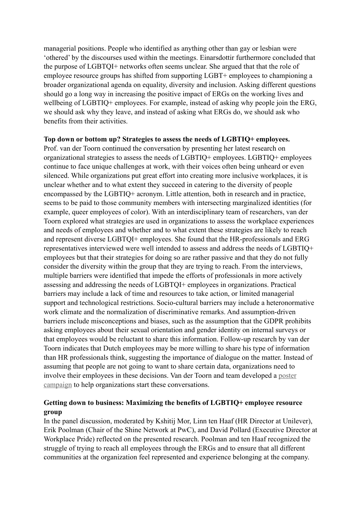managerial positions. People who identified as anything other than gay or lesbian were 'othered' by the discourses used within the meetings. Einarsdottir furthermore concluded that the purpose of LGBTQI+ networks often seems unclear. She argued that that the role of employee resource groups has shifted from supporting LGBT+ employees to championing a broader organizational agenda on equality, diversity and inclusion. Asking different questions should go a long way in increasing the positive impact of ERGs on the working lives and wellbeing of LGBTIQ+ employees. For example, instead of asking why people join the ERG, we should ask why they leave, and instead of asking what ERGs do, we should ask who benefits from their activities.

#### **Top down or bottom up? Strategies to assess the needs of LGBTIQ+ employees.**

Prof. van der Toorn continued the conversation by presenting her latest research on organizational strategies to assess the needs of LGBTIQ+ employees. LGBTIQ+ employees continue to face unique challenges at work, with their voices often being unheard or even silenced. While organizations put great effort into creating more inclusive workplaces, it is unclear whether and to what extent they succeed in catering to the diversity of people encompassed by the LGBTIQ+ acronym. Little attention, both in research and in practice, seems to be paid to those community members with intersecting marginalized identities (for example, queer employees of color). With an interdisciplinary team of researchers, van der Toorn explored what strategies are used in organizations to assess the workplace experiences and needs of employees and whether and to what extent these strategies are likely to reach and represent diverse LGBTQI+ employees. She found that the HR-professionals and ERG representatives interviewed were well intended to assess and address the needs of LGBTIQ+ employees but that their strategies for doing so are rather passive and that they do not fully consider the diversity within the group that they are trying to reach. From the interviews, multiple barriers were identified that impede the efforts of professionals in more actively assessing and addressing the needs of LGBTQI+ employees in organizations. Practical barriers may include a lack of time and resources to take action, or limited managerial support and technological restrictions. Socio-cultural barriers may include a heteronormative work climate and the normalization of discriminative remarks. And assumption-driven barriers include misconceptions and biases, such as the assumption that the GDPR prohibits asking employees about their sexual orientation and gender identity on internal surveys or that employees would be reluctant to share this information. Follow-up research by van der Toorn indicates that Dutch employees may be more willing to share his type of information than HR professionals think, suggesting the importance of dialogue on the matter. Instead of assuming that people are not going to want to share certain data, organizations need to involve their employees in these decisions. Van der Toorn and team developed a [poster](https://www.uu.nl/en/research/utrecht-young-academy/pinc-poster-campaign)  [campaign](https://www.uu.nl/en/research/utrecht-young-academy/pinc-poster-campaign) to help organizations start these conversations.

## **Getting down to business: Maximizing the benefits of LGBTIQ+ employee resource group**

In the panel discussion, moderated by Kshitij Mor, Linn ten Haaf (HR Director at Unilever), Erik Poolman (Chair of the Shine Network at PwC), and David Pollard (Executive Director at Workplace Pride) reflected on the presented research. Poolman and ten Haaf recognized the struggle of trying to reach all employees through the ERGs and to ensure that all different communities at the organization feel represented and experience belonging at the company.